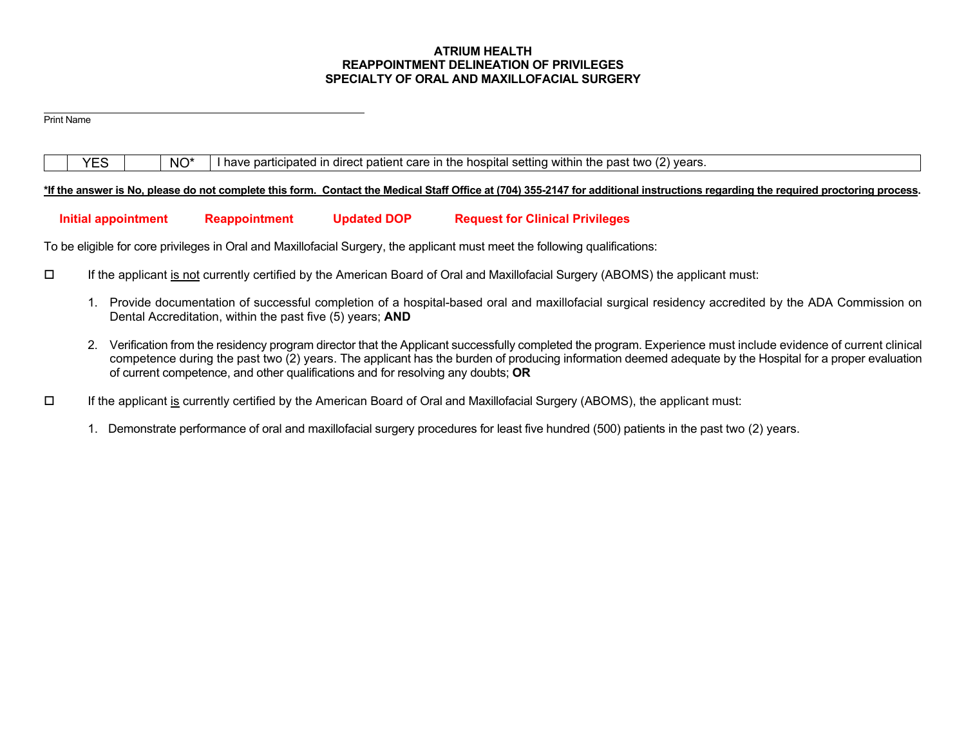### **ATRIUM HEALTH REAPPOINTMENT DELINEATION OF PRIVILEGES SPECIALTY OF ORAL AND MAXILLOFACIAL SURGERY**

Print Name

 $YES$   $\parallel$   $NO^*$  I have participated in direct patient care in the hospital setting within the past two (2) years.

### **\*If the answer is No, please do not complete this form. Contact the Medical Staff Office at (704) 355-2147 for additional instructions regarding the required proctoring process.**

## **Initial appointment Reappointment Updated DOP Request for Clinical Privileges**

To be eligible for core privileges in Oral and Maxillofacial Surgery, the applicant must meet the following qualifications:

- If the applicant is not currently certified by the American Board of Oral and Maxillofacial Surgery (ABOMS) the applicant must:
	- 1. Provide documentation of successful completion of a hospital-based oral and maxillofacial surgical residency accredited by the ADA Commission on Dental Accreditation, within the past five (5) years; **AND**
	- 2. Verification from the residency program director that the Applicant successfully completed the program. Experience must include evidence of current clinical competence during the past two (2) years. The applicant has the burden of producing information deemed adequate by the Hospital for a proper evaluation of current competence, and other qualifications and for resolving any doubts; **OR**
- $\Box$  If the applicant is currently certified by the American Board of Oral and Maxillofacial Surgery (ABOMS), the applicant must:
	- 1. Demonstrate performance of oral and maxillofacial surgery procedures for least five hundred (500) patients in the past two (2) years.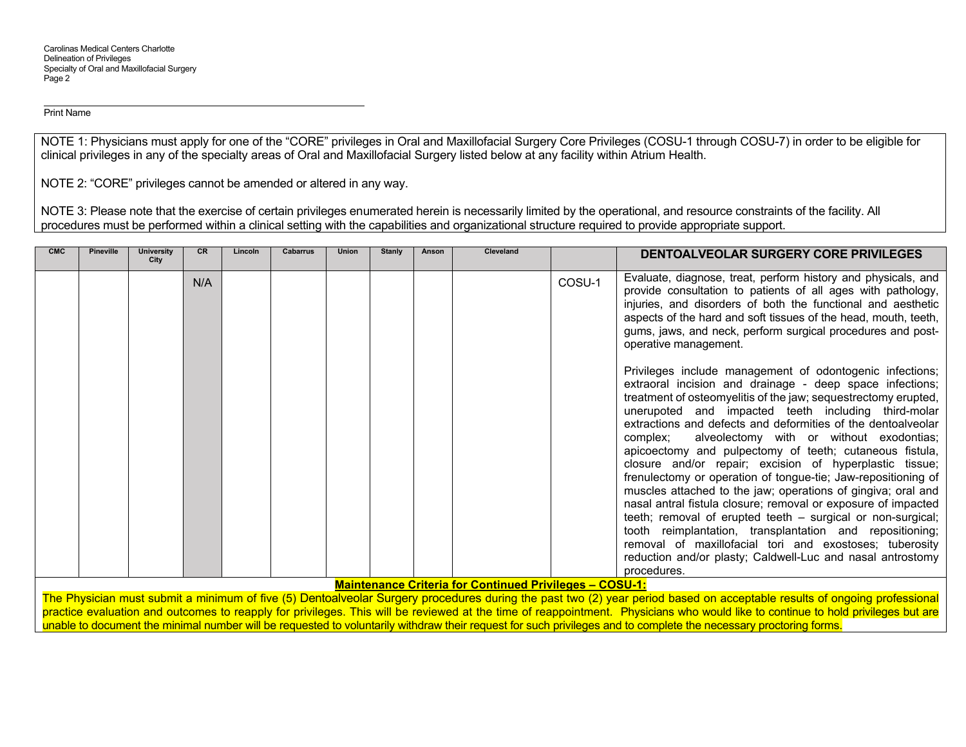NOTE 1: Physicians must apply for one of the "CORE" privileges in Oral and Maxillofacial Surgery Core Privileges (COSU-1 through COSU-7) in order to be eligible for clinical privileges in any of the specialty areas of Oral and Maxillofacial Surgery listed below at any facility within Atrium Health.

NOTE 2: "CORE" privileges cannot be amended or altered in any way.

NOTE 3: Please note that the exercise of certain privileges enumerated herein is necessarily limited by the operational, and resource constraints of the facility. All procedures must be performed within a clinical setting with the capabilities and organizational structure required to provide appropriate support.

| <b>CMC</b><br><b>Pineville</b><br><b>University</b><br>City | <b>CR</b> | Lincoln | Cabarrus | <b>Union</b> | <b>Stanly</b> | Anson | Cleveland                                                      |        | DENTOALVEOLAR SURGERY CORE PRIVILEGES                                                                                                                                                                                                                                                                                                                                                                                                                                                                                                                                                                                                                                                                                                                                                                                                                                                                                                                            |
|-------------------------------------------------------------|-----------|---------|----------|--------------|---------------|-------|----------------------------------------------------------------|--------|------------------------------------------------------------------------------------------------------------------------------------------------------------------------------------------------------------------------------------------------------------------------------------------------------------------------------------------------------------------------------------------------------------------------------------------------------------------------------------------------------------------------------------------------------------------------------------------------------------------------------------------------------------------------------------------------------------------------------------------------------------------------------------------------------------------------------------------------------------------------------------------------------------------------------------------------------------------|
|                                                             | N/A       |         |          |              |               |       |                                                                | COSU-1 | Evaluate, diagnose, treat, perform history and physicals, and<br>provide consultation to patients of all ages with pathology,<br>injuries, and disorders of both the functional and aesthetic<br>aspects of the hard and soft tissues of the head, mouth, teeth,<br>gums, jaws, and neck, perform surgical procedures and post-<br>operative management.                                                                                                                                                                                                                                                                                                                                                                                                                                                                                                                                                                                                         |
|                                                             |           |         |          |              |               |       | <b>Maintenance Criteria for Continued Privileges - COSU-1:</b> |        | Privileges include management of odontogenic infections;<br>extraoral incision and drainage - deep space infections;<br>treatment of osteomyelitis of the jaw; sequestrectomy erupted,<br>unerupoted and impacted teeth including third-molar<br>extractions and defects and deformities of the dentoalveolar<br>alveolectomy with or without exodontias;<br>complex;<br>apicoectomy and pulpectomy of teeth; cutaneous fistula,<br>closure and/or repair; excision of hyperplastic tissue;<br>frenulectomy or operation of tongue-tie; Jaw-repositioning of<br>muscles attached to the jaw; operations of gingiva; oral and<br>nasal antral fistula closure; removal or exposure of impacted<br>teeth; removal of erupted teeth - surgical or non-surgical;<br>tooth reimplantation, transplantation and repositioning;<br>removal of maxillofacial tori and exostoses; tuberosity<br>reduction and/or plasty; Caldwell-Luc and nasal antrostomy<br>procedures. |

**Maintenance Criteria for Continued Privileges – COSU-1:** 

The Physician must submit a minimum of five (5) Dentoalveolar Surgery procedures during the past two (2) year period based on acceptable results of ongoing professional practice evaluation and outcomes to reapply for privileges. This will be reviewed at the time of reappointment. Physicians who would like to continue to hold privileges but are unable to document the minimal number will be requested to voluntarily withdraw their request for such privileges and to complete the necessary proctoring forms.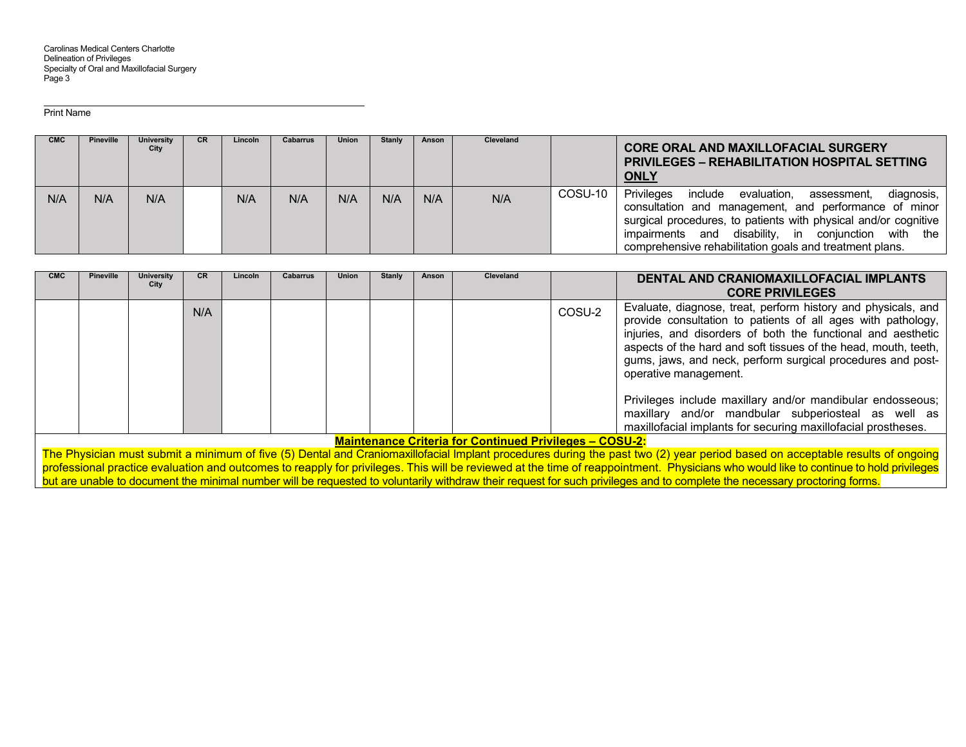| <b>CMC</b> | <b>Pineville</b> | University<br>City | CR. | <b>Lincoln</b> | <b>Cabarrus</b> | Union | <b>Stanly</b> | Anson | Cleveland |         | <b>CORE ORAL AND MAXILLOFACIAL SURGERY</b><br><b>PRIVILEGES – REHABILITATION HOSPITAL SETTING</b><br><b>ONLY</b>                                                                                                                                                                                                |
|------------|------------------|--------------------|-----|----------------|-----------------|-------|---------------|-------|-----------|---------|-----------------------------------------------------------------------------------------------------------------------------------------------------------------------------------------------------------------------------------------------------------------------------------------------------------------|
| N/A        | N/A              | N/A                |     | N/A            | N/A             | N/A   | N/A           | N/A   | N/A       | COSU-10 | Privileges<br>include<br>evaluation,<br>diagnosis,<br>assessment,<br>consultation and management, and performance of minor<br>surgical procedures, to patients with physical and/or cognitive<br>impairments and disability, in conjunction with the<br>comprehensive rehabilitation goals and treatment plans. |

| <b>CMC</b> | <b>Pineville</b>                                                                                                                                                             | <b>University</b><br>City | CR. | Lincoln | <b>Cabarrus</b> | <b>Union</b> | <b>Stanly</b> | Anson | <b>Cleveland</b> |        | DENTAL AND CRANIOMAXILLOFACIAL IMPLANTS<br><b>CORE PRIVILEGES</b>                                                                                                                                                                                                                                                                                                                                                      |
|------------|------------------------------------------------------------------------------------------------------------------------------------------------------------------------------|---------------------------|-----|---------|-----------------|--------------|---------------|-------|------------------|--------|------------------------------------------------------------------------------------------------------------------------------------------------------------------------------------------------------------------------------------------------------------------------------------------------------------------------------------------------------------------------------------------------------------------------|
|            |                                                                                                                                                                              |                           | N/A |         |                 |              |               |       |                  | COSU-2 | Evaluate, diagnose, treat, perform history and physicals, and<br>provide consultation to patients of all ages with pathology,<br>injuries, and disorders of both the functional and aesthetic<br>aspects of the hard and soft tissues of the head, mouth, teeth,<br>gums, jaws, and neck, perform surgical procedures and post-<br>operative management.<br>Privileges include maxillary and/or mandibular endosseous; |
|            |                                                                                                                                                                              |                           |     |         |                 |              |               |       |                  |        | maxillary and/or mandbular subperiosteal as well as<br>maxillofacial implants for securing maxillofacial prostheses.                                                                                                                                                                                                                                                                                                   |
|            | <b>Maintenance Criteria for Continued Privileges - COSU-2:</b>                                                                                                               |                           |     |         |                 |              |               |       |                  |        |                                                                                                                                                                                                                                                                                                                                                                                                                        |
|            | The Physician must submit a minimum of five (5) Dental and Craniomaxillofacial Implant procedures during the past two (2) year period based on acceptable results of ongoing |                           |     |         |                 |              |               |       |                  |        |                                                                                                                                                                                                                                                                                                                                                                                                                        |

The Physician must submit a minimum of five (5) Dental and Craniomaxillofacial Implant procedures during the past two (2) year period based on acceptable results of ongoing professional practice evaluation and outcomes to reapply for privileges. This will be reviewed at the time of reappointment. Physicians who would like to continue to hold privileges but are unable to document the minimal number will be requested to voluntarily withdraw their request for such privileges and to complete the necessary proctoring forms.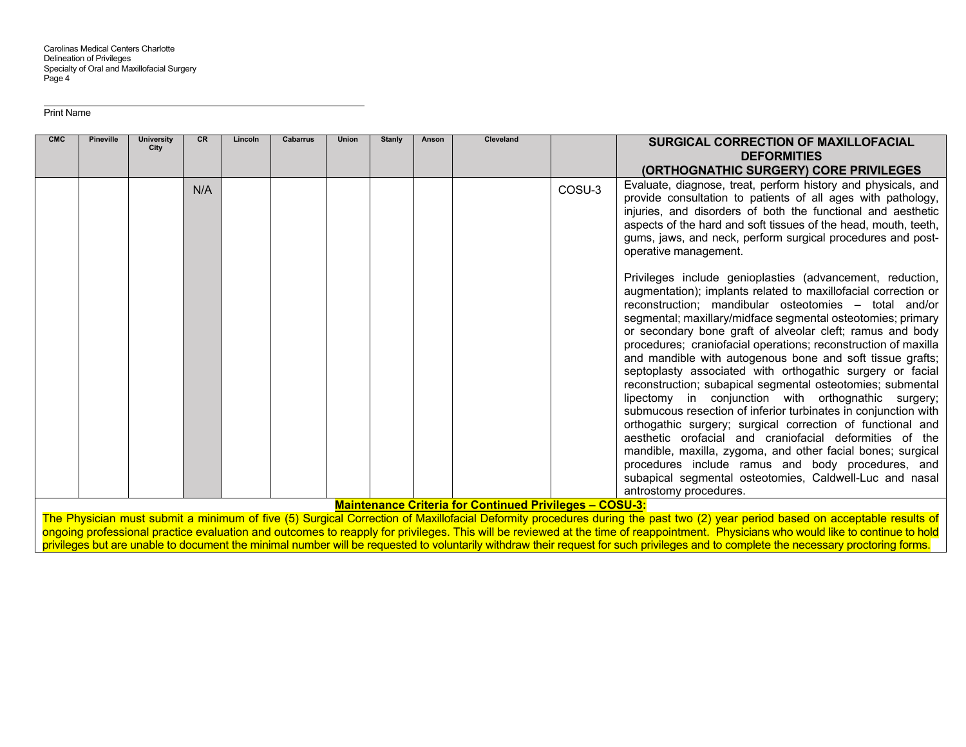| <b>CMC</b> | <b>Pineville</b>                                                                                                                                                             | <b>University</b><br>City | <b>CR</b> | <b>Lincoln</b> | <b>Cabarrus</b> | <b>Union</b> | Stanlv | Anson | Cleveland                                                      |        | <b>SURGICAL CORRECTION OF MAXILLOFACIAL</b>                                                                                                                                                                                                                                                                                                                                                                                                                                                                                                                                                                                                                                                                                                                                                                                                                                                                                                                                                                                           |
|------------|------------------------------------------------------------------------------------------------------------------------------------------------------------------------------|---------------------------|-----------|----------------|-----------------|--------------|--------|-------|----------------------------------------------------------------|--------|---------------------------------------------------------------------------------------------------------------------------------------------------------------------------------------------------------------------------------------------------------------------------------------------------------------------------------------------------------------------------------------------------------------------------------------------------------------------------------------------------------------------------------------------------------------------------------------------------------------------------------------------------------------------------------------------------------------------------------------------------------------------------------------------------------------------------------------------------------------------------------------------------------------------------------------------------------------------------------------------------------------------------------------|
|            |                                                                                                                                                                              |                           |           |                |                 |              |        |       |                                                                |        | <b>DEFORMITIES</b>                                                                                                                                                                                                                                                                                                                                                                                                                                                                                                                                                                                                                                                                                                                                                                                                                                                                                                                                                                                                                    |
|            |                                                                                                                                                                              |                           |           |                |                 |              |        |       |                                                                |        | (ORTHOGNATHIC SURGERY) CORE PRIVILEGES                                                                                                                                                                                                                                                                                                                                                                                                                                                                                                                                                                                                                                                                                                                                                                                                                                                                                                                                                                                                |
|            |                                                                                                                                                                              |                           | N/A       |                |                 |              |        |       |                                                                | COSU-3 | Evaluate, diagnose, treat, perform history and physicals, and<br>provide consultation to patients of all ages with pathology,<br>injuries, and disorders of both the functional and aesthetic<br>aspects of the hard and soft tissues of the head, mouth, teeth,<br>gums, jaws, and neck, perform surgical procedures and post-<br>operative management.                                                                                                                                                                                                                                                                                                                                                                                                                                                                                                                                                                                                                                                                              |
|            |                                                                                                                                                                              |                           |           |                |                 |              |        |       |                                                                |        | Privileges include genioplasties (advancement, reduction,<br>augmentation); implants related to maxillofacial correction or<br>reconstruction; mandibular osteotomies - total and/or<br>segmental; maxillary/midface segmental osteotomies; primary<br>or secondary bone graft of alveolar cleft; ramus and body<br>procedures; craniofacial operations; reconstruction of maxilla<br>and mandible with autogenous bone and soft tissue grafts;<br>septoplasty associated with orthogathic surgery or facial<br>reconstruction; subapical segmental osteotomies; submental<br>lipectomy in conjunction with orthognathic surgery;<br>submucous resection of inferior turbinates in conjunction with<br>orthogathic surgery; surgical correction of functional and<br>aesthetic orofacial and craniofacial deformities of the<br>mandible, maxilla, zygoma, and other facial bones; surgical<br>procedures include ramus and body procedures, and<br>subapical segmental osteotomies, Caldwell-Luc and nasal<br>antrostomy procedures. |
|            |                                                                                                                                                                              |                           |           |                |                 |              |        |       | <b>Maintenance Criteria for Continued Privileges - COSU-3:</b> |        |                                                                                                                                                                                                                                                                                                                                                                                                                                                                                                                                                                                                                                                                                                                                                                                                                                                                                                                                                                                                                                       |
|            | The Physician must submit a minimum of five (5) Surgical Correction of Maxillofacial Deformity procedures during the past two (2) year period based on acceptable results of |                           |           |                |                 |              |        |       |                                                                |        |                                                                                                                                                                                                                                                                                                                                                                                                                                                                                                                                                                                                                                                                                                                                                                                                                                                                                                                                                                                                                                       |

ongoing professional practice evaluation and outcomes to reapply for privileges. This will be reviewed at the time of reappointment. Physicians who would like to continue to hold privileges but are unable to document the minimal number will be requested to voluntarily withdraw their request for such privileges and to complete the necessary proctoring forms.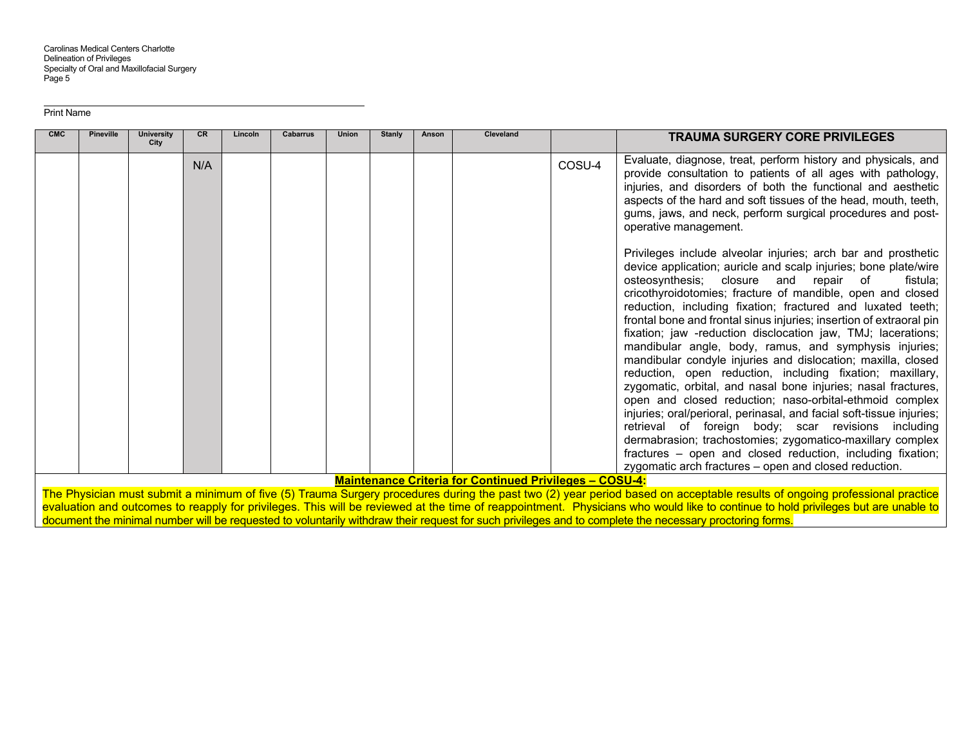| <b>CMC</b> | <b>Pineville</b> | <b>University</b><br>City | <b>CR</b> | Lincoln | Cabarrus | Union | <b>Stanly</b> | Anson | Cleveland                                                      |        | <b>TRAUMA SURGERY CORE PRIVILEGES</b>                                                                                                                                                                                                                                                                                                                                                                                                                                                                                                                                                                                                                                                                                                                                                                                                                                                                                                                                                                                                                                                           |
|------------|------------------|---------------------------|-----------|---------|----------|-------|---------------|-------|----------------------------------------------------------------|--------|-------------------------------------------------------------------------------------------------------------------------------------------------------------------------------------------------------------------------------------------------------------------------------------------------------------------------------------------------------------------------------------------------------------------------------------------------------------------------------------------------------------------------------------------------------------------------------------------------------------------------------------------------------------------------------------------------------------------------------------------------------------------------------------------------------------------------------------------------------------------------------------------------------------------------------------------------------------------------------------------------------------------------------------------------------------------------------------------------|
|            |                  |                           | N/A       |         |          |       |               |       |                                                                | COSU-4 | Evaluate, diagnose, treat, perform history and physicals, and<br>provide consultation to patients of all ages with pathology,<br>injuries, and disorders of both the functional and aesthetic<br>aspects of the hard and soft tissues of the head, mouth, teeth,<br>gums, jaws, and neck, perform surgical procedures and post-<br>operative management.                                                                                                                                                                                                                                                                                                                                                                                                                                                                                                                                                                                                                                                                                                                                        |
|            |                  |                           |           |         |          |       |               |       |                                                                |        | Privileges include alveolar injuries; arch bar and prosthetic<br>device application; auricle and scalp injuries; bone plate/wire<br>osteosynthesis; closure and repair of<br>fistula:<br>cricothyroidotomies; fracture of mandible, open and closed<br>reduction, including fixation; fractured and luxated teeth;<br>frontal bone and frontal sinus injuries; insertion of extraoral pin<br>fixation; jaw -reduction disclocation jaw, TMJ; lacerations;<br>mandibular angle, body, ramus, and symphysis injuries;<br>mandibular condyle injuries and dislocation; maxilla, closed<br>reduction, open reduction, including fixation; maxillary,<br>zygomatic, orbital, and nasal bone injuries; nasal fractures,<br>open and closed reduction; naso-orbital-ethmoid complex<br>injuries; oral/perioral, perinasal, and facial soft-tissue injuries;<br>retrieval of foreign body; scar revisions including<br>dermabrasion; trachostomies; zygomatico-maxillary complex<br>fractures - open and closed reduction, including fixation;<br>zygomatic arch fractures - open and closed reduction. |
|            |                  |                           |           |         |          |       |               |       | <b>Maintenance Criteria for Continued Privileges - COSU-4:</b> |        |                                                                                                                                                                                                                                                                                                                                                                                                                                                                                                                                                                                                                                                                                                                                                                                                                                                                                                                                                                                                                                                                                                 |
|            |                  |                           |           |         |          |       |               |       |                                                                |        | The Physician must submit a minimum of five (5) Trauma Surgery procedures during the past two (2) year period based on acceptable results of ongoing professional practice                                                                                                                                                                                                                                                                                                                                                                                                                                                                                                                                                                                                                                                                                                                                                                                                                                                                                                                      |

evaluation and outcomes to reapply for privileges. This will be reviewed at the time of reappointment. Physicians who would like to continue to hold privileges but are unable to document the minimal number will be requested to voluntarily withdraw their request for such privileges and to complete the necessary proctoring forms.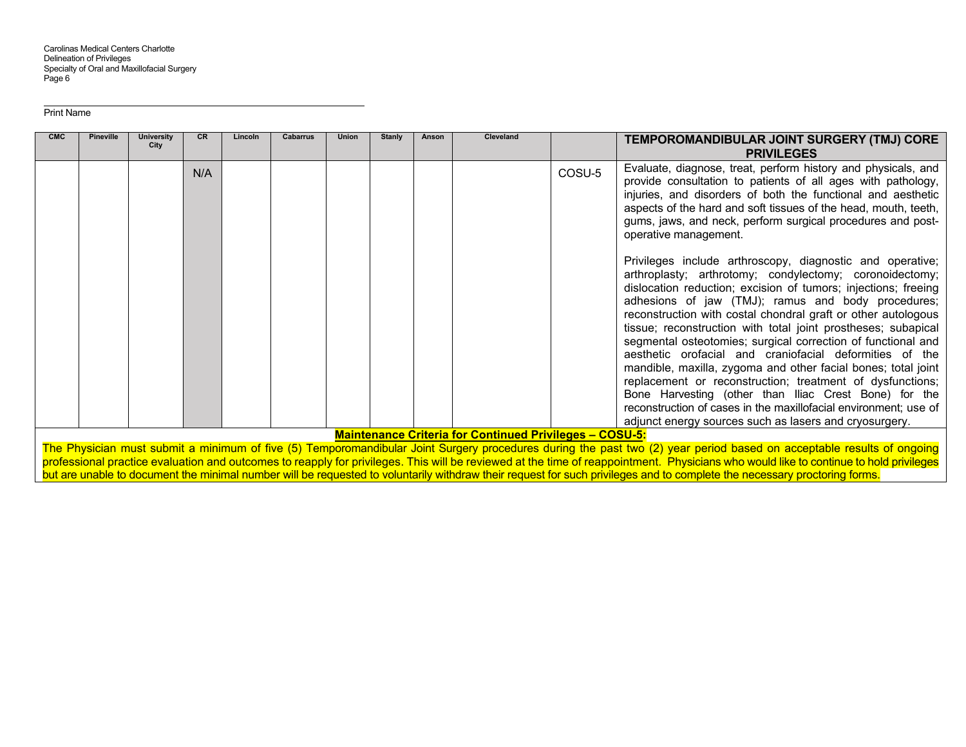| <b>CMC</b> | <b>Pineville</b>                                                                                                                                                      | <b>University</b><br>City | CR  | Lincoln | Cabarrus | Union | <b>Stanly</b> | Anson | <b>Cleveland</b>                                               |        | TEMPOROMANDIBULAR JOINT SURGERY (TMJ) CORE<br><b>PRIVILEGES</b>                                                                                                                                                                                                                                                                                                                                                                                                                                                                                                                                                                                                                                                                                                                                                                |
|------------|-----------------------------------------------------------------------------------------------------------------------------------------------------------------------|---------------------------|-----|---------|----------|-------|---------------|-------|----------------------------------------------------------------|--------|--------------------------------------------------------------------------------------------------------------------------------------------------------------------------------------------------------------------------------------------------------------------------------------------------------------------------------------------------------------------------------------------------------------------------------------------------------------------------------------------------------------------------------------------------------------------------------------------------------------------------------------------------------------------------------------------------------------------------------------------------------------------------------------------------------------------------------|
|            |                                                                                                                                                                       |                           | N/A |         |          |       |               |       |                                                                | COSU-5 | Evaluate, diagnose, treat, perform history and physicals, and<br>provide consultation to patients of all ages with pathology,<br>injuries, and disorders of both the functional and aesthetic<br>aspects of the hard and soft tissues of the head, mouth, teeth,<br>gums, jaws, and neck, perform surgical procedures and post-<br>operative management.                                                                                                                                                                                                                                                                                                                                                                                                                                                                       |
|            |                                                                                                                                                                       |                           |     |         |          |       |               |       |                                                                |        | Privileges include arthroscopy, diagnostic and operative;<br>arthroplasty; arthrotomy; condylectomy; coronoidectomy;<br>dislocation reduction; excision of tumors; injections; freeing<br>adhesions of jaw (TMJ); ramus and body procedures;<br>reconstruction with costal chondral graft or other autologous<br>tissue; reconstruction with total joint prostheses; subapical<br>segmental osteotomies; surgical correction of functional and<br>aesthetic orofacial and craniofacial deformities of the<br>mandible, maxilla, zygoma and other facial bones; total joint<br>replacement or reconstruction; treatment of dysfunctions;<br>Bone Harvesting (other than Iliac Crest Bone) for the<br>reconstruction of cases in the maxillofacial environment; use of<br>adjunct energy sources such as lasers and cryosurgery. |
|            |                                                                                                                                                                       |                           |     |         |          |       |               |       | <b>Maintenance Criteria for Continued Privileges - COSU-5:</b> |        |                                                                                                                                                                                                                                                                                                                                                                                                                                                                                                                                                                                                                                                                                                                                                                                                                                |
|            | The Physician must submit a minimum of five (5) Temporomandibular Joint Surgery procedures during the past two (2) year period based on acceptable results of ongoing |                           |     |         |          |       |               |       |                                                                |        |                                                                                                                                                                                                                                                                                                                                                                                                                                                                                                                                                                                                                                                                                                                                                                                                                                |

professional practice evaluation and outcomes to reapply for privileges. This will be reviewed at the time of reappointment. Physicians who would like to continue to hold privileges but are unable to document the minimal number will be requested to voluntarily withdraw their request for such privileges and to complete the necessary proctoring forms.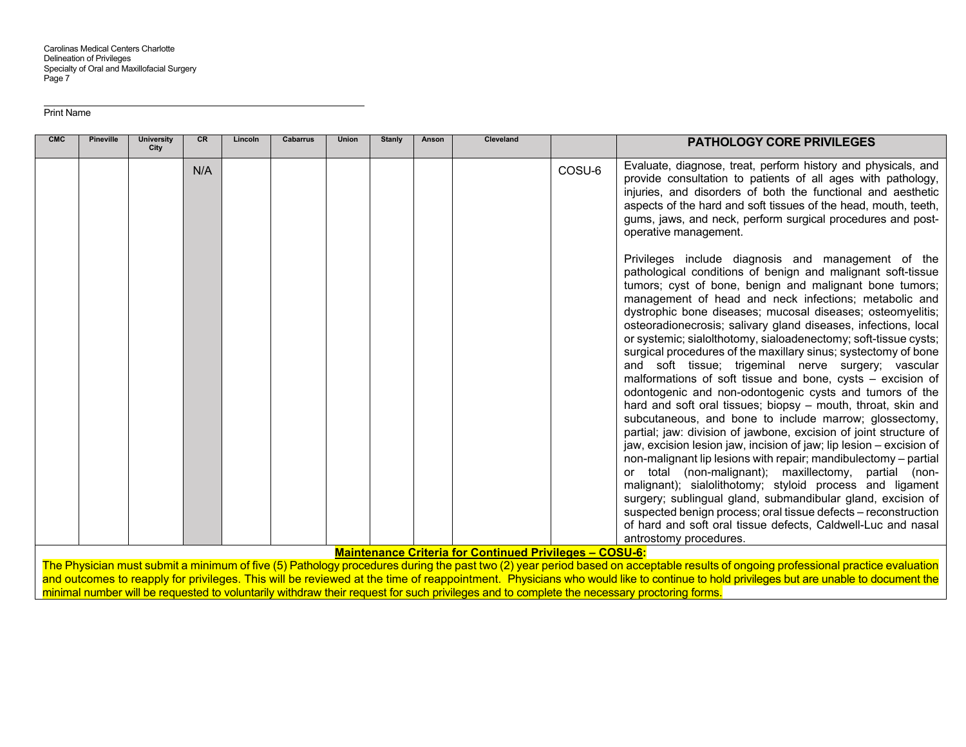| <b>CMC</b> | <b>Pineville</b> | <b>University</b><br>City | <b>CR</b> | Lincoln | <b>Cabarrus</b> | <b>Union</b> | <b>Stanly</b> | Anson | <b>Cleveland</b>                                               |        | <b>PATHOLOGY CORE PRIVILEGES</b>                                                                                                                                                                                                                                                                                                                                                                                                                                                                                                                                                                                                                                                                                                                                                                                                                                                                                                                                                                                                                                                                                                                                                                                                                                                                                                                                                      |
|------------|------------------|---------------------------|-----------|---------|-----------------|--------------|---------------|-------|----------------------------------------------------------------|--------|---------------------------------------------------------------------------------------------------------------------------------------------------------------------------------------------------------------------------------------------------------------------------------------------------------------------------------------------------------------------------------------------------------------------------------------------------------------------------------------------------------------------------------------------------------------------------------------------------------------------------------------------------------------------------------------------------------------------------------------------------------------------------------------------------------------------------------------------------------------------------------------------------------------------------------------------------------------------------------------------------------------------------------------------------------------------------------------------------------------------------------------------------------------------------------------------------------------------------------------------------------------------------------------------------------------------------------------------------------------------------------------|
|            |                  |                           | N/A       |         |                 |              |               |       |                                                                | COSU-6 | Evaluate, diagnose, treat, perform history and physicals, and<br>provide consultation to patients of all ages with pathology,<br>injuries, and disorders of both the functional and aesthetic<br>aspects of the hard and soft tissues of the head, mouth, teeth,<br>gums, jaws, and neck, perform surgical procedures and post-<br>operative management.                                                                                                                                                                                                                                                                                                                                                                                                                                                                                                                                                                                                                                                                                                                                                                                                                                                                                                                                                                                                                              |
|            |                  |                           |           |         |                 |              |               |       |                                                                |        | Privileges include diagnosis and management of the<br>pathological conditions of benign and malignant soft-tissue<br>tumors; cyst of bone, benign and malignant bone tumors;<br>management of head and neck infections; metabolic and<br>dystrophic bone diseases; mucosal diseases; osteomyelitis;<br>osteoradionecrosis; salivary gland diseases, infections, local<br>or systemic; sialolthotomy, sialoadenectomy; soft-tissue cysts;<br>surgical procedures of the maxillary sinus; systectomy of bone<br>and soft tissue; trigeminal nerve surgery; vascular<br>malformations of soft tissue and bone, cysts $-$ excision of<br>odontogenic and non-odontogenic cysts and tumors of the<br>hard and soft oral tissues; biopsy - mouth, throat, skin and<br>subcutaneous, and bone to include marrow; glossectomy,<br>partial; jaw: division of jawbone, excision of joint structure of<br>jaw, excision lesion jaw, incision of jaw; lip lesion – excision of<br>non-malignant lip lesions with repair; mandibulectomy - partial<br>or total (non-malignant); maxillectomy, partial (non-<br>malignant); sialolithotomy; styloid process and ligament<br>surgery; sublingual gland, submandibular gland, excision of<br>suspected benign process; oral tissue defects - reconstruction<br>of hard and soft oral tissue defects, Caldwell-Luc and nasal<br>antrostomy procedures. |
|            |                  |                           |           |         |                 |              |               |       | <b>Maintenance Criteria for Continued Privileges - COSU-6:</b> |        |                                                                                                                                                                                                                                                                                                                                                                                                                                                                                                                                                                                                                                                                                                                                                                                                                                                                                                                                                                                                                                                                                                                                                                                                                                                                                                                                                                                       |

The Physician must submit a minimum of five (5) Pathology procedures during the past two (2) year period based on acceptable results of ongoing professional practice evaluation and outcomes to reapply for privileges. This will be reviewed at the time of reappointment. Physicians who would like to continue to hold privileges but are unable to document the minimal number will be requested to voluntarily withdraw their request for such privileges and to complete the necessary proctoring forms.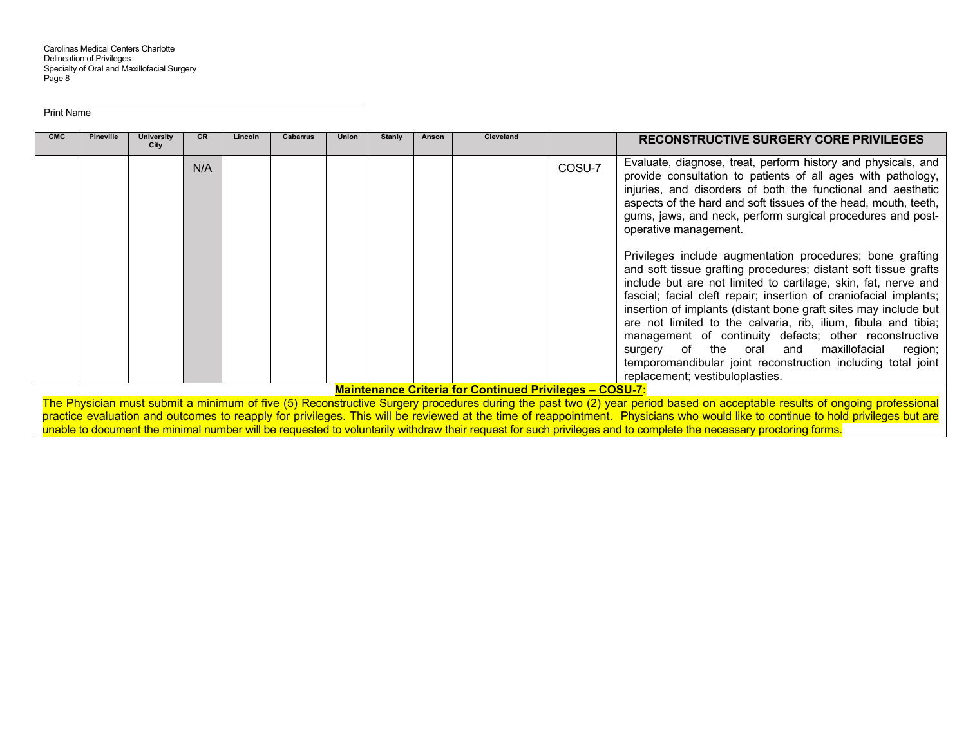| <b>CMC</b> | <b>Pineville</b> | <b>University</b><br>City | CR. | Lincoln | Cabarrus | <b>Union</b> | <b>Stanly</b> | Anson | <b>Cleveland</b>                                               |        | <b>RECONSTRUCTIVE SURGERY CORE PRIVILEGES</b>                                                                                                                                                                                                                                                                                                                                                                                                                                                                                                                                                                             |
|------------|------------------|---------------------------|-----|---------|----------|--------------|---------------|-------|----------------------------------------------------------------|--------|---------------------------------------------------------------------------------------------------------------------------------------------------------------------------------------------------------------------------------------------------------------------------------------------------------------------------------------------------------------------------------------------------------------------------------------------------------------------------------------------------------------------------------------------------------------------------------------------------------------------------|
|            |                  |                           | N/A |         |          |              |               |       |                                                                | COSU-7 | Evaluate, diagnose, treat, perform history and physicals, and<br>provide consultation to patients of all ages with pathology,<br>injuries, and disorders of both the functional and aesthetic<br>aspects of the hard and soft tissues of the head, mouth, teeth,<br>gums, jaws, and neck, perform surgical procedures and post-<br>operative management.                                                                                                                                                                                                                                                                  |
|            |                  |                           |     |         |          |              |               |       |                                                                |        | Privileges include augmentation procedures; bone grafting<br>and soft tissue grafting procedures; distant soft tissue grafts<br>include but are not limited to cartilage, skin, fat, nerve and<br>fascial; facial cleft repair; insertion of craniofacial implants;<br>insertion of implants (distant bone graft sites may include but<br>are not limited to the calvaria, rib, ilium, fibula and tibia;<br>management of continuity defects; other reconstructive<br>surgery of the oral and maxillofacial<br>region;<br>temporomandibular joint reconstruction including total joint<br>replacement; vestibuloplasties. |
|            |                  |                           |     |         |          |              |               |       | <b>Maintenance Criteria for Continued Privileges - COSU-7:</b> |        |                                                                                                                                                                                                                                                                                                                                                                                                                                                                                                                                                                                                                           |

The Physician must submit a minimum of five (5) Reconstructive Surgery procedures during the past two (2) year period based on acceptable results of ongoing professional practice evaluation and outcomes to reapply for privileges. This will be reviewed at the time of reappointment. Physicians who would like to continue to hold privileges but are unable to document the minimal number will be requested to voluntarily withdraw their request for such privileges and to complete the necessary proctoring forms.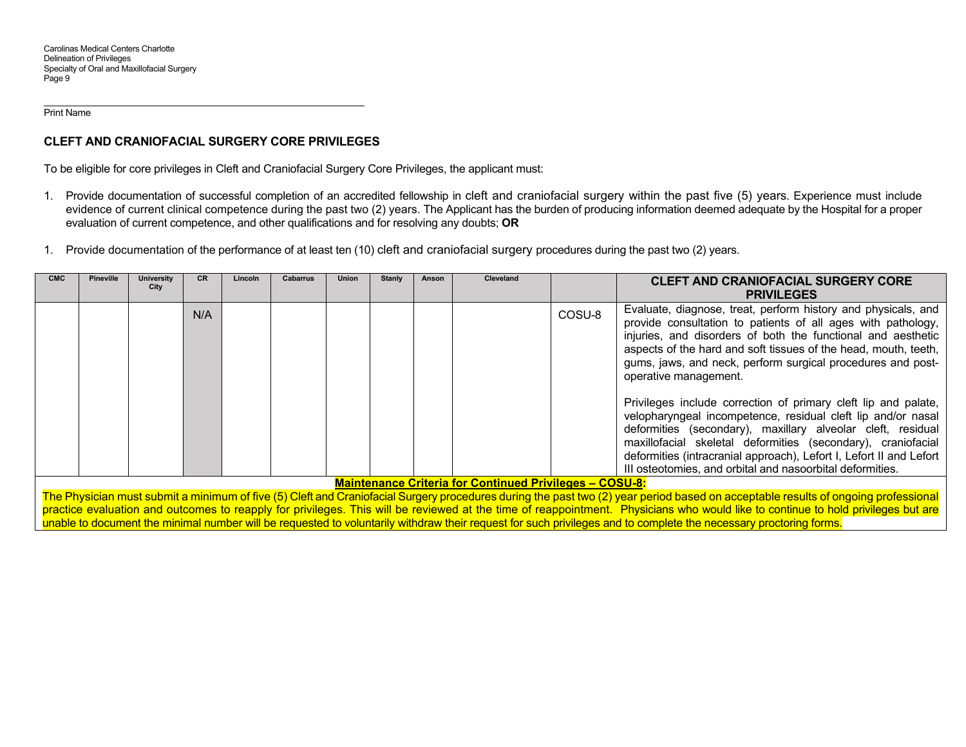# **CLEFT AND CRANIOFACIAL SURGERY CORE PRIVILEGES**

To be eligible for core privileges in Cleft and Craniofacial Surgery Core Privileges, the applicant must:

- 1. Provide documentation of successful completion of an accredited fellowship in cleft and craniofacial surgery within the past five (5) years. Experience must include evidence of current clinical competence during the past two (2) years. The Applicant has the burden of producing information deemed adequate by the Hospital for a proper evaluation of current competence, and other qualifications and for resolving any doubts; **OR**
- 1. Provide documentation of the performance of at least ten (10) cleft and craniofacial surgery procedures during the past two (2) years.

| <b>CMC</b> | <b>Pineville</b>                                                                                                                                                                  | <b>University</b><br>City | CR. | Lincoln | Cabarrus | Union | <b>Stanly</b> | Anson | <b>Cleveland</b>                                               |        | <b>CLEFT AND CRANIOFACIAL SURGERY CORE</b>                                                                                                                                                                                                                                                                                                                                                        |
|------------|-----------------------------------------------------------------------------------------------------------------------------------------------------------------------------------|---------------------------|-----|---------|----------|-------|---------------|-------|----------------------------------------------------------------|--------|---------------------------------------------------------------------------------------------------------------------------------------------------------------------------------------------------------------------------------------------------------------------------------------------------------------------------------------------------------------------------------------------------|
|            |                                                                                                                                                                                   |                           |     |         |          |       |               |       |                                                                |        | <b>PRIVILEGES</b>                                                                                                                                                                                                                                                                                                                                                                                 |
|            |                                                                                                                                                                                   |                           | N/A |         |          |       |               |       |                                                                | COSU-8 | Evaluate, diagnose, treat, perform history and physicals, and<br>provide consultation to patients of all ages with pathology,<br>injuries, and disorders of both the functional and aesthetic<br>aspects of the hard and soft tissues of the head, mouth, teeth,<br>gums, jaws, and neck, perform surgical procedures and post-<br>operative management.                                          |
|            |                                                                                                                                                                                   |                           |     |         |          |       |               |       |                                                                |        | Privileges include correction of primary cleft lip and palate,<br>velopharyngeal incompetence, residual cleft lip and/or nasal<br>deformities (secondary), maxillary alveolar cleft, residual<br>maxillofacial skeletal deformities (secondary), craniofacial<br>deformities (intracranial approach), Lefort I, Lefort II and Lefort<br>III osteotomies, and orbital and nasoorbital deformities. |
|            |                                                                                                                                                                                   |                           |     |         |          |       |               |       | <b>Maintenance Criteria for Continued Privileges - COSU-8:</b> |        |                                                                                                                                                                                                                                                                                                                                                                                                   |
|            | The Physician must submit a minimum of five (5) Cleft and Craniofacial Surgery procedures during the past two (2) year period based on acceptable results of ongoing professional |                           |     |         |          |       |               |       |                                                                |        |                                                                                                                                                                                                                                                                                                                                                                                                   |

practice evaluation and outcomes to reapply for privileges. This will be reviewed at the time of reappointment. Physicians who would like to continue to hold privileges but are unable to document the minimal number will be requested to voluntarily withdraw their request for such privileges and to complete the necessary proctoring forms.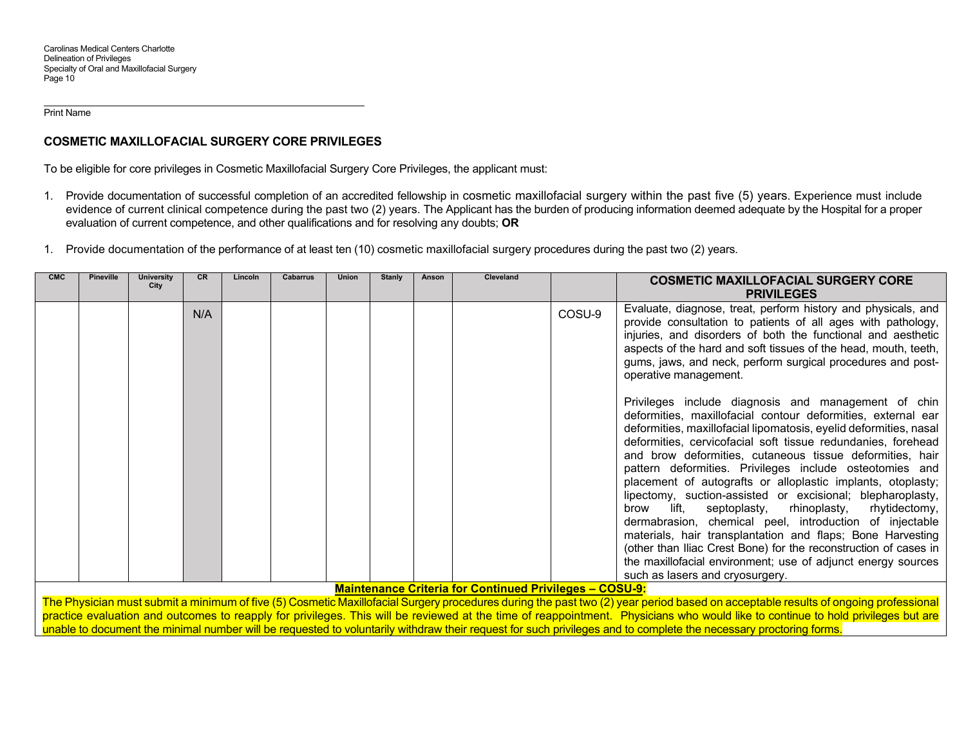## **COSMETIC MAXILLOFACIAL SURGERY CORE PRIVILEGES**

To be eligible for core privileges in Cosmetic Maxillofacial Surgery Core Privileges, the applicant must:

- 1. Provide documentation of successful completion of an accredited fellowship in cosmetic maxillofacial surgery within the past five (5) years. Experience must include evidence of current clinical competence during the past two (2) years. The Applicant has the burden of producing information deemed adequate by the Hospital for a proper evaluation of current competence, and other qualifications and for resolving any doubts; **OR**
- 1. Provide documentation of the performance of at least ten (10) cosmetic maxillofacial surgery procedures during the past two (2) years.

| <b>CMC</b> | <b>Pineville</b> | <b>University</b><br>City | <b>CR</b> | Lincoln | Cabarrus | Union | <b>Stanly</b> | Anson | <b>Cleveland</b>                                               |        | <b>COSMETIC MAXILLOFACIAL SURGERY CORE</b>                                                                                                                                                                                                                                                                                                                                                                                                                                                                                                                                                                                                                                                                                                                                                                                                                                  |
|------------|------------------|---------------------------|-----------|---------|----------|-------|---------------|-------|----------------------------------------------------------------|--------|-----------------------------------------------------------------------------------------------------------------------------------------------------------------------------------------------------------------------------------------------------------------------------------------------------------------------------------------------------------------------------------------------------------------------------------------------------------------------------------------------------------------------------------------------------------------------------------------------------------------------------------------------------------------------------------------------------------------------------------------------------------------------------------------------------------------------------------------------------------------------------|
|            |                  |                           |           |         |          |       |               |       |                                                                |        | <b>PRIVILEGES</b>                                                                                                                                                                                                                                                                                                                                                                                                                                                                                                                                                                                                                                                                                                                                                                                                                                                           |
|            |                  |                           | N/A       |         |          |       |               |       |                                                                | COSU-9 | Evaluate, diagnose, treat, perform history and physicals, and<br>provide consultation to patients of all ages with pathology,<br>injuries, and disorders of both the functional and aesthetic<br>aspects of the hard and soft tissues of the head, mouth, teeth,<br>gums, jaws, and neck, perform surgical procedures and post-<br>operative management.                                                                                                                                                                                                                                                                                                                                                                                                                                                                                                                    |
|            |                  |                           |           |         |          |       |               |       |                                                                |        | Privileges include diagnosis and management of chin<br>deformities, maxillofacial contour deformities, external ear<br>deformities, maxillofacial lipomatosis, eyelid deformities, nasal<br>deformities, cervicofacial soft tissue redundanies, forehead<br>and brow deformities, cutaneous tissue deformities, hair<br>pattern deformities. Privileges include osteotomies and<br>placement of autografts or alloplastic implants, otoplasty;<br>lipectomy, suction-assisted or excisional; blepharoplasty,<br>lift,<br>septoplasty,<br>rhinoplasty, rhytidectomy,<br>brow<br>dermabrasion, chemical peel, introduction of injectable<br>materials, hair transplantation and flaps; Bone Harvesting<br>(other than Iliac Crest Bone) for the reconstruction of cases in<br>the maxillofacial environment; use of adjunct energy sources<br>such as lasers and cryosurgery. |
|            |                  |                           |           |         |          |       |               |       | <b>Maintenance Criteria for Continued Privileges - COSU-9:</b> |        |                                                                                                                                                                                                                                                                                                                                                                                                                                                                                                                                                                                                                                                                                                                                                                                                                                                                             |
|            |                  |                           |           |         |          |       |               |       |                                                                |        | The Physician must submit a minimum of five (5) Cosmetic Maxillofacial Surgery procedures during the past two (2) year period based on acceptable results of ongoing professional                                                                                                                                                                                                                                                                                                                                                                                                                                                                                                                                                                                                                                                                                           |

practice evaluation and outcomes to reapply for privileges. This will be reviewed at the time of reappointment. Physicians who would like to continue to hold privileges but are unable to document the minimal number will be requested to voluntarily withdraw their request for such privileges and to complete the necessary proctoring forms.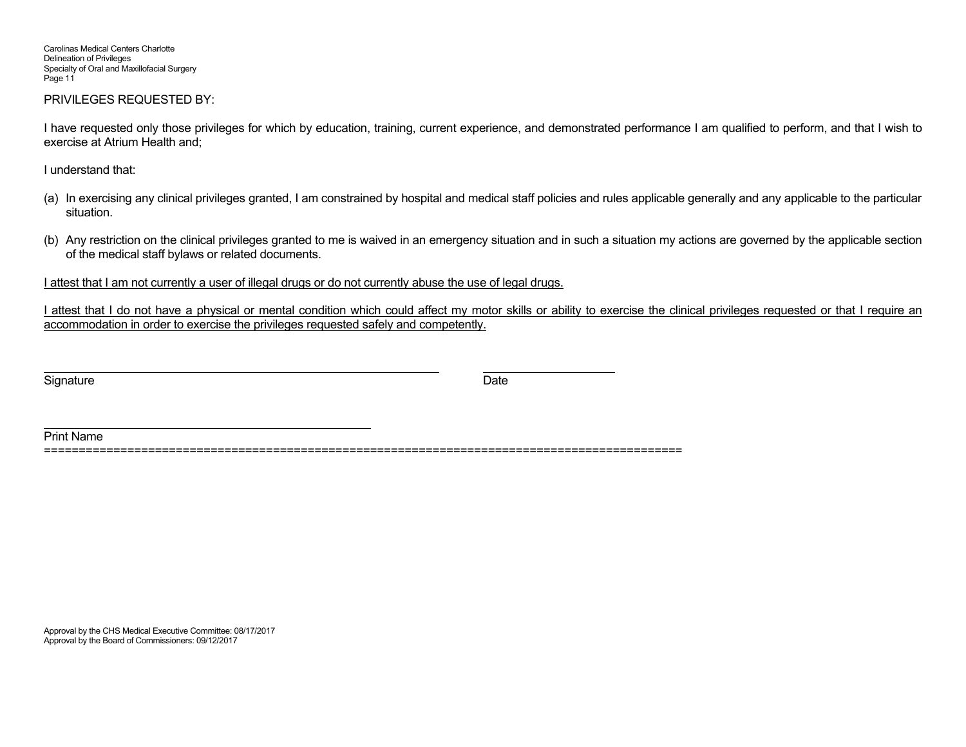Carolinas Medical Centers Charlotte Delineation of Privileges Specialty of Oral and Maxillofacial Surgery Page 11

#### PRIVILEGES REQUESTED BY:

I have requested only those privileges for which by education, training, current experience, and demonstrated performance I am qualified to perform, and that I wish to exercise at Atrium Health and;

I understand that:

- (a) In exercising any clinical privileges granted, I am constrained by hospital and medical staff policies and rules applicable generally and any applicable to the particular situation.
- (b) Any restriction on the clinical privileges granted to me is waived in an emergency situation and in such a situation my actions are governed by the applicable section of the medical staff bylaws or related documents.

I attest that I am not currently a user of illegal drugs or do not currently abuse the use of legal drugs.

I attest that I do not have a physical or mental condition which could affect my motor skills or ability to exercise the clinical privileges requested or that I require an accommodation in order to exercise the privileges requested safely and competently.

Signature Date

Print Name ============================================================================================

Approval by the CHS Medical Executive Committee: 08/17/2017 Approval by the Board of Commissioners: 09/12/2017